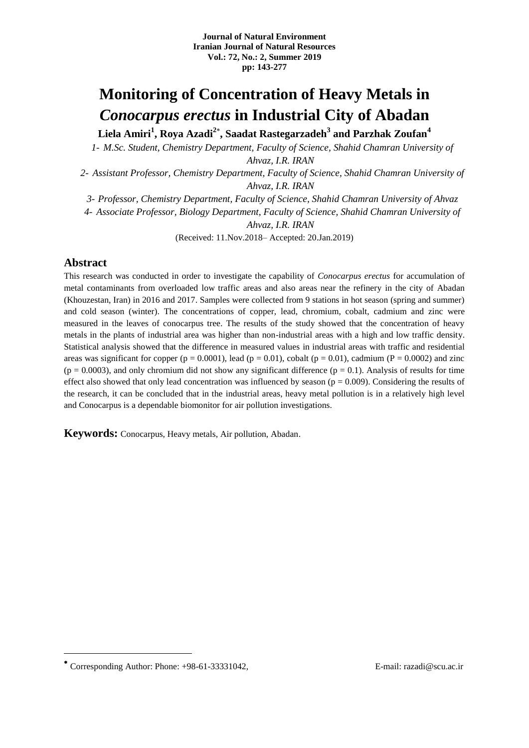## **Monitoring of Concentration of Heavy Metals in**  *Conocarpus erectus* **in Industrial City of Abadan**

**Liela Amiri<sup>1</sup> , Roya Azadi<sup>2</sup> , Saadat Rastegarzadeh<sup>3</sup> and Parzhak Zoufan<sup>4</sup>**

*1- M.Sc. Student, Chemistry Department, Faculty of Science, Shahid Chamran University of Ahvaz, I.R. IRAN*

*2- Assistant Professor, Chemistry Department, Faculty of Science, Shahid Chamran University of* 

*Ahvaz, I.R. IRAN*

*3- Professor, Chemistry Department, Faculty of Science, Shahid Chamran University of Ahvaz*

*4- Associate Professor, Biology Department, Faculty of Science, Shahid Chamran University of* 

*Ahvaz, I.R. IRAN*

(Received: 11.Nov.2018– Accepted: 20.Jan.2019)

#### **Abstract**

This research was conducted in order to investigate the capability of *Conocarpus erectus* for accumulation of metal contaminants from overloaded low traffic areas and also areas near the refinery in the city of Abadan (Khouzestan, Iran) in 2016 and 2017. Samples were collected from 9 stations in hot season (spring and summer) and cold season (winter). The concentrations of copper, lead, chromium, cobalt, cadmium and zinc were measured in the leaves of conocarpus tree. The results of the study showed that the concentration of heavy metals in the plants of industrial area was higher than non-industrial areas with a high and low traffic density. Statistical analysis showed that the difference in measured values in industrial areas with traffic and residential areas was significant for copper ( $p = 0.0001$ ), lead ( $p = 0.01$ ), cobalt ( $p = 0.01$ ), cadmium ( $P = 0.0002$ ) and zinc  $(p = 0.0003)$ , and only chromium did not show any significant difference  $(p = 0.1)$ . Analysis of results for time effect also showed that only lead concentration was influenced by season ( $p = 0.009$ ). Considering the results of the research, it can be concluded that in the industrial areas, heavy metal pollution is in a relatively high level and Conocarpus is a dependable biomonitor for air pollution investigations.

**Keywords:** Conocarpus, Heavy metals, Air pollution, Abadan.

Corresponding Author: Phone: +98-61-33331042, E-mail: razadi@scu.ac.ir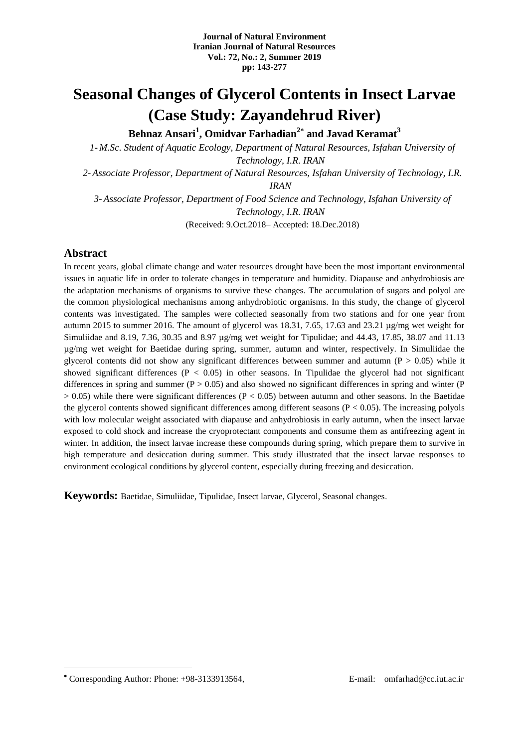### **Seasonal Changes of Glycerol Contents in Insect Larvae (Case Study: Zayandehrud River)**

**Behnaz Ansari<sup>1</sup> , Omidvar Farhadian<sup>2</sup> and Javad Keramat<sup>3</sup>**

*1- M.Sc. Student of Aquatic Ecology, Department of Natural Resources, Isfahan University of Technology, I.R. IRAN 2-Associate Professor, Department of Natural Resources, Isfahan University of Technology, I.R. IRAN 3-Associate Professor, Department of Food Science and Technology, Isfahan University of Technology, I.R. IRAN*

(Received: 9.Oct.2018– Accepted: 18.Dec.2018)

#### **Abstract**

In recent years, global climate change and water resources drought have been the most important environmental issues in aquatic life in order to tolerate changes in temperature and humidity. Diapause and anhydrobiosis are the adaptation mechanisms of organisms to survive these changes. The accumulation of sugars and polyol are the common physiological mechanisms among anhydrobiotic organisms. In this study, the change of glycerol contents was investigated. The samples were collected seasonally from two stations and for one year from autumn 2015 to summer 2016. The amount of glycerol was 18.31, 7.65, 17.63 and 23.21 µg/mg wet weight for Simuliidae and 8.19, 7.36, 30.35 and 8.97  $\mu$ g/mg wet weight for Tipulidae; and 44.43, 17.85, 38.07 and 11.13 µg/mg wet weight for Baetidae during spring, summer, autumn and winter, respectively. In Simuliidae the glycerol contents did not show any significant differences between summer and autumn ( $P > 0.05$ ) while it showed significant differences ( $P < 0.05$ ) in other seasons. In Tipulidae the glycerol had not significant differences in spring and summer ( $P > 0.05$ ) and also showed no significant differences in spring and winter ( $P$ )  $> 0.05$ ) while there were significant differences (P < 0.05) between autumn and other seasons. In the Baetidae the glycerol contents showed significant differences among different seasons ( $P < 0.05$ ). The increasing polyols with low molecular weight associated with diapause and anhydrobiosis in early autumn, when the insect larvae exposed to cold shock and increase the cryoprotectant components and consume them as antifreezing agent in winter. In addition, the insect larvae increase these compounds during spring, which prepare them to survive in high temperature and desiccation during summer. This study illustrated that the insect larvae responses to environment ecological conditions by glycerol content, especially during freezing and desiccation.

**Keywords:** Baetidae, Simuliidae, Tipulidae, Insect larvae, Glycerol, Seasonal changes.

Corresponding Author: Phone: +98-3133913564, E-mail: omfarhad@cc.iut.ac.ir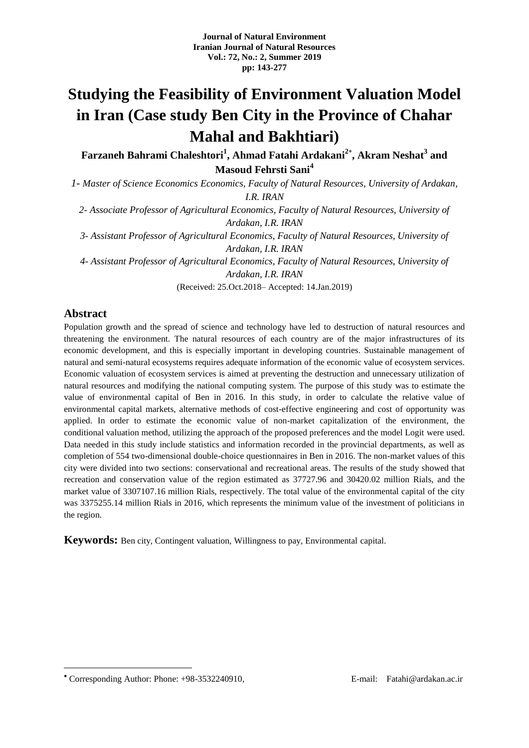# **Studying the Feasibility of Environment Valuation Model in Iran (Case study Ben City in the Province of Chahar Mahal and Bakhtiari)**

**Farzaneh Bahrami Chaleshtori<sup>1</sup> , Ahmad Fatahi Ardakani<sup>2</sup> , Akram Neshat<sup>3</sup> and Masoud Fehrsti Sani<sup>4</sup>**

*1- Master of Science Economics Economics, Faculty of Natural Resources, University of Ardakan, I.R. IRAN*

*2- Associate Professor of Agricultural Economics, Faculty of Natural Resources, University of Ardakan, I.R. IRAN*

*3- Assistant Professor of Agricultural Economics, Faculty of Natural Resources, University of Ardakan, I.R. IRAN*

*4- Assistant Professor of Agricultural Economics, Faculty of Natural Resources, University of Ardakan, I.R. IRAN*

(Received: 25.Oct.2018– Accepted: 14.Jan.2019)

### **Abstract**

1

Population growth and the spread of science and technology have led to destruction of natural resources and threatening the environment. The natural resources of each country are of the major infrastructures of its economic development, and this is especially important in developing countries. Sustainable management of natural and semi-natural ecosystems requires adequate information of the economic value of ecosystem services. Economic valuation of ecosystem services is aimed at preventing the destruction and unnecessary utilization of natural resources and modifying the national computing system. The purpose of this study was to estimate the value of environmental capital of Ben in 2016. In this study, in order to calculate the relative value of environmental capital markets, alternative methods of cost-effective engineering and cost of opportunity was applied. In order to estimate the economic value of non-market capitalization of the environment, the conditional valuation method, utilizing the approach of the proposed preferences and the model Logit were used. Data needed in this study include statistics and information recorded in the provincial departments, as well as completion of 554 two-dimensional double-choice questionnaires in Ben in 2016. The non-market values of this city were divided into two sections: conservational and recreational areas. The results of the study showed that recreation and conservation value of the region estimated as 37727.96 and 30420.02 million Rials, and the market value of 3307107.16 million Rials, respectively. The total value of the environmental capital of the city was 3375255.14 million Rials in 2016, which represents the minimum value of the investment of politicians in the region.

**Keywords:** Ben city, Contingent valuation, Willingness to pay, Environmental capital.

<sup>\*</sup> Corresponding Author: Phone: +98-3532240910, E-mail: Fatahi@ardakan.ac.ir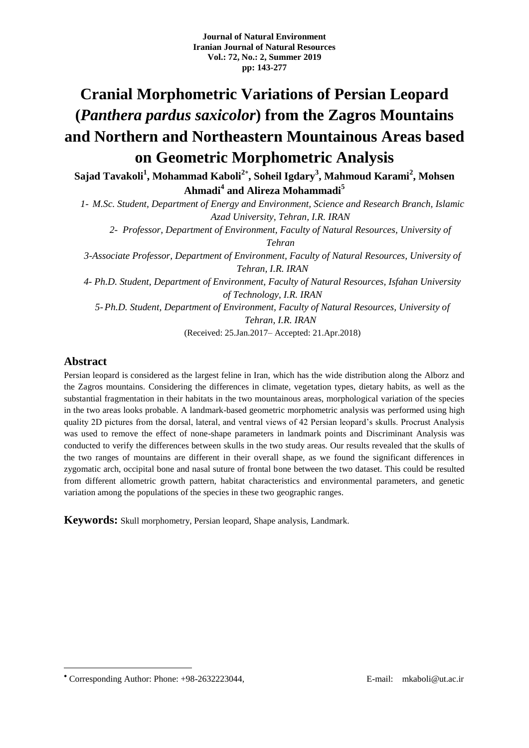# **Cranial Morphometric Variations of Persian Leopard (***Panthera pardus saxicolor***) from the Zagros Mountains and Northern and Northeastern Mountainous Areas based on Geometric Morphometric Analysis**

**Sajad Tavakoli<sup>1</sup> , Mohammad Kaboli<sup>2</sup> , Soheil Igdary<sup>3</sup> , Mahmoud Karami<sup>2</sup> , Mohsen Ahmadi<sup>4</sup> and Alireza Mohammadi<sup>5</sup>**

*1- M.Sc. Student, Department of Energy and Environment, Science and Research Branch, Islamic Azad University, Tehran, I.R. IRAN*

*2- Professor, Department of Environment, Faculty of Natural Resources, University of Tehran*

*3-Associate Professor, Department of Environment, Faculty of Natural Resources, University of Tehran, I.R. IRAN*

*4- Ph.D. Student, Department of Environment, Faculty of Natural Resources, Isfahan University of Technology, I.R. IRAN*

*5-Ph.D. Student, Department of Environment, Faculty of Natural Resources, University of Tehran, I.R. IRAN*

(Received: 25.Jan.2017– Accepted: 21.Apr.2018)

### **Abstract**

1

Persian leopard is considered as the largest feline in Iran, which has the wide distribution along the Alborz and the Zagros mountains. Considering the differences in climate, vegetation types, dietary habits, as well as the substantial fragmentation in their habitats in the two mountainous areas, morphological variation of the species in the two areas looks probable. A landmark-based geometric morphometric analysis was performed using high quality 2D pictures from the dorsal, lateral, and ventral views of 42 Persian leopard's skulls. Procrust Analysis was used to remove the effect of none-shape parameters in landmark points and Discriminant Analysis was conducted to verify the differences between skulls in the two study areas. Our results revealed that the skulls of the two ranges of mountains are different in their overall shape, as we found the significant differences in zygomatic arch, occipital bone and nasal suture of frontal bone between the two dataset. This could be resulted from different allometric growth pattern, habitat characteristics and environmental parameters, and genetic variation among the populations of the species in these two geographic ranges.

**Keywords:** Skull morphometry, Persian leopard, Shape analysis, Landmark.

Corresponding Author: Phone: +98-2632223044, E-mail: mkaboli@ut.ac.ir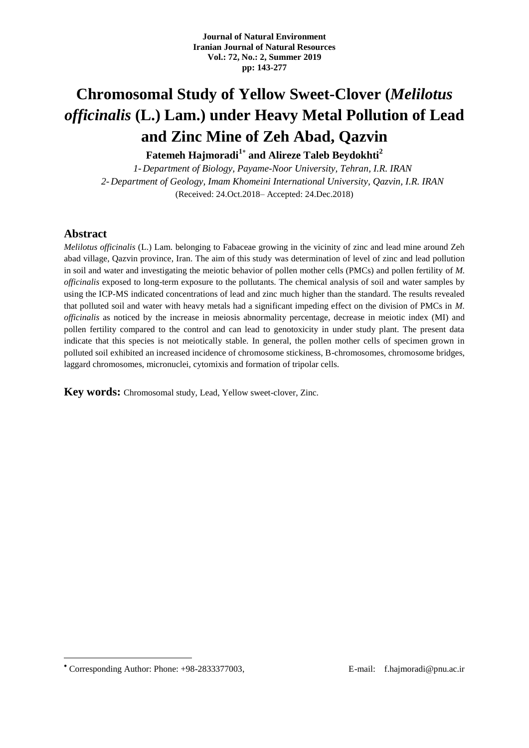# **Chromosomal Study of Yellow Sweet-Clover (***Melilotus officinalis* **(L.) Lam.) under Heavy Metal Pollution of Lead and Zinc Mine of Zeh Abad, Qazvin**

**Fatemeh Hajmoradi<sup>1</sup> and Alireze Taleb Beydokhti<sup>2</sup>**

*1- Department of Biology, Payame-Noor University, Tehran, I.R. IRAN 2- Department of Geology, Imam Khomeini International University, Qazvin, I.R. IRAN* (Received: 24.Oct.2018– Accepted: 24.Dec.2018)

#### **Abstract**

*Melilotus officinalis* (L.) Lam. belonging to Fabaceae growing in the vicinity of zinc and lead mine around Zeh abad village, Qazvin province, Iran. The aim of this study was determination of level of zinc and lead pollution in soil and water and investigating the meiotic behavior of pollen mother cells (PMCs) and pollen fertility of *M. officinalis* exposed to long-term exposure to the pollutants. The chemical analysis of soil and water samples by using the ICP-MS indicated concentrations of lead and zinc much higher than the standard. The results revealed that polluted soil and water with heavy metals had a significant impeding effect on the division of PMCs in *M. officinalis* as noticed by the increase in meiosis abnormality percentage, decrease in meiotic index (MI) and pollen fertility compared to the control and can lead to genotoxicity in under study plant. The present data indicate that this species is not meiotically stable. In general, the pollen mother cells of specimen grown in polluted soil exhibited an increased incidence of chromosome stickiness, B-chromosomes, chromosome bridges, laggard chromosomes, micronuclei, cytomixis and formation of tripolar cells.

**Key words:** Chromosomal study, Lead, Yellow sweet-clover, Zinc.

<u>.</u>

Corresponding Author: Phone: +98-2833377003, E-mail: f.hajmoradi@pnu.ac.ir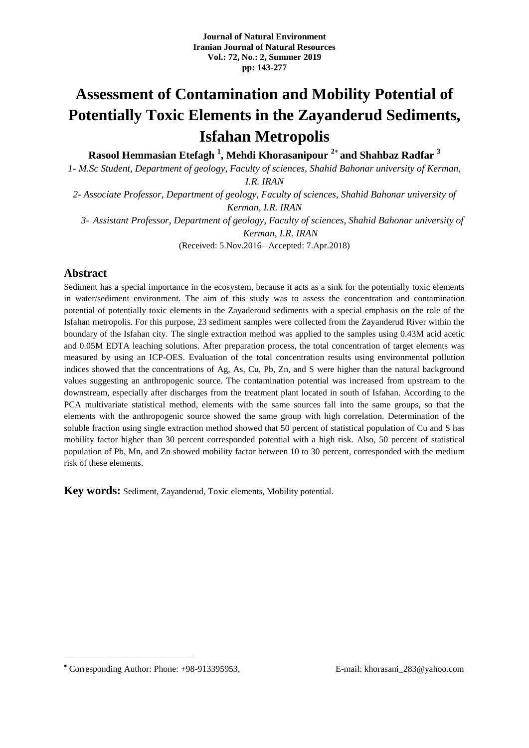# **Assessment of Contamination and Mobility Potential of Potentially Toxic Elements in the Zayanderud Sediments, Isfahan Metropolis**

**Rasool Hemmasian Etefagh <sup>1</sup> , Mehdi Khorasanipour <sup>2</sup> and Shahbaz Radfar <sup>3</sup>**

*1- M.Sc Student, Department of geology, Faculty of sciences, Shahid Bahonar university of Kerman,* 

*I.R. IRAN*

*2- Associate Professor, Department of geology, Faculty of sciences, Shahid Bahonar university of Kerman, I.R. IRAN*

*3- Assistant Professor, Department of geology, Faculty of sciences, Shahid Bahonar university of Kerman, I.R. IRAN*

(Received: 5.Nov.2016– Accepted: 7.Apr.2018)

### **Abstract**

Sediment has a special importance in the ecosystem, because it acts as a sink for the potentially toxic elements in water/sediment environment. The aim of this study was to assess the concentration and contamination potential of potentially toxic elements in the Zayaderoud sediments with a special emphasis on the role of the Isfahan metropolis. For this purpose, 23 sediment samples were collected from the Zayanderud River within the boundary of the Isfahan city. The single extraction method was applied to the samples using 0.43M acid acetic and 0.05M EDTA leaching solutions. After preparation process, the total concentration of target elements was measured by using an ICP-OES. Evaluation of the total concentration results using environmental pollution indices showed that the concentrations of Ag, As, Cu, Pb, Zn, and S were higher than the natural background values suggesting an anthropogenic source. The contamination potential was increased from upstream to the downstream, especially after discharges from the treatment plant located in south of Isfahan. According to the PCA multivariate statistical method, elements with the same sources fall into the same groups, so that the elements with the anthropogenic source showed the same group with high correlation. Determination of the soluble fraction using single extraction method showed that 50 percent of statistical population of Cu and S has mobility factor higher than 30 percent corresponded potential with a high risk. Also, 50 percent of statistical population of Pb, Mn, and Zn showed mobility factor between 10 to 30 percent, corresponded with the medium risk of these elements.

**Key words:** Sediment, Zayanderud, Toxic elements, Mobility potential.

<u>.</u>

Corresponding Author: Phone: +98-913395953, E-mail: khorasani\_283@yahoo.com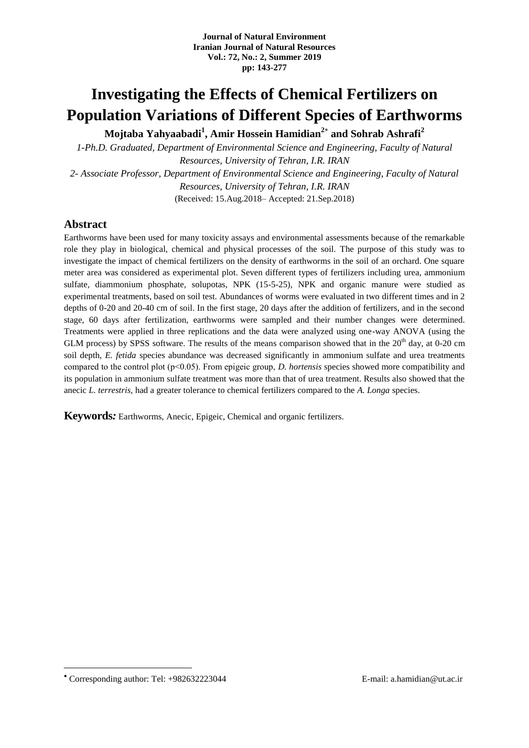### **Investigating the Effects of Chemical Fertilizers on Population Variations of Different Species of Earthworms**

**Mojtaba Yahyaabadi<sup>1</sup> , Amir Hossein Hamidian<sup>2</sup> and Sohrab Ashrafi<sup>2</sup>**

*1-Ph.D. Graduated, Department of Environmental Science and Engineering, Faculty of Natural Resources, University of Tehran, I.R. IRAN 2- Associate Professor, Department of Environmental Science and Engineering, Faculty of Natural Resources, University of Tehran, I.R. IRAN* (Received: 15.Aug.2018– Accepted: 21.Sep.2018)

#### **Abstract**

Earthworms have been used for many toxicity assays and environmental assessments because of the remarkable role they play in biological, chemical and physical processes of the soil. The purpose of this study was to investigate the impact of chemical fertilizers on the density of earthworms in the soil of an orchard. One square meter area was considered as experimental plot. Seven different types of fertilizers including urea, ammonium sulfate, diammonium phosphate, solupotas, NPK (15-5-25), NPK and organic manure were studied as experimental treatments, based on soil test. Abundances of worms were evaluated in two different times and in 2 depths of 0-20 and 20-40 cm of soil. In the first stage, 20 days after the addition of fertilizers, and in the second stage, 60 days after fertilization, earthworms were sampled and their number changes were determined. Treatments were applied in three replications and the data were analyzed using one-way ANOVA (using the GLM process) by SPSS software. The results of the means comparison showed that in the  $20<sup>th</sup>$  day, at 0-20 cm soil depth, *E. fetida* species abundance was decreased significantly in ammonium sulfate and urea treatments compared to the control plot (p˂0.05). From epigeic group, *D. hortensis* species showed more compatibility and its population in ammonium sulfate treatment was more than that of urea treatment. Results also showed that the anecic *L. terrestris*, had a greater tolerance to chemical fertilizers compared to the *A. Longa* species.

**Keywords***:* Earthworms, Anecic, Epigeic, Chemical and organic fertilizers.

Corresponding author: Tel: +982632223044 E-mail: a.hamidian@ut.ac.ir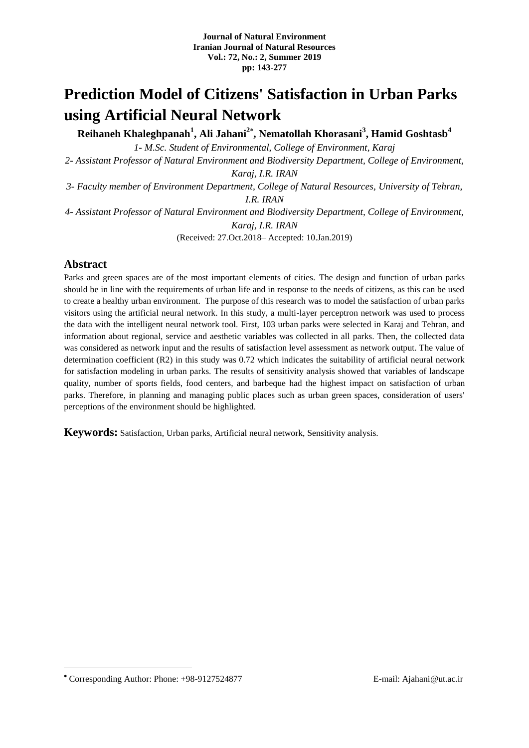# **Prediction Model of Citizens' Satisfaction in Urban Parks using Artificial Neural Network**

**Reihaneh Khaleghpanah<sup>1</sup> , Ali Jahani<sup>2</sup> , Nematollah Khorasani<sup>3</sup> , Hamid Goshtasb<sup>4</sup>**

*1- M.Sc. Student of Environmental, College of Environment, Karaj*

*2- Assistant Professor of Natural Environment and Biodiversity Department, College of Environment, Karaj, I.R. IRAN*

*3- Faculty member of Environment Department, College of Natural Resources, University of Tehran, I.R. IRAN*

*4- Assistant Professor of Natural Environment and Biodiversity Department, College of Environment, Karaj, I.R. IRAN*

(Received: 27.Oct.2018– Accepted: 10.Jan.2019)

### **Abstract**

Parks and green spaces are of the most important elements of cities. The design and function of urban parks should be in line with the requirements of urban life and in response to the needs of citizens, as this can be used to create a healthy urban environment. The purpose of this research was to model the satisfaction of urban parks visitors using the artificial neural network. In this study, a multi-layer perceptron network was used to process the data with the intelligent neural network tool. First, 103 urban parks were selected in Karaj and Tehran, and information about regional, service and aesthetic variables was collected in all parks. Then, the collected data was considered as network input and the results of satisfaction level assessment as network output. The value of determination coefficient (R2) in this study was 0.72 which indicates the suitability of artificial neural network for satisfaction modeling in urban parks. The results of sensitivity analysis showed that variables of landscape quality, number of sports fields, food centers, and barbeque had the highest impact on satisfaction of urban parks. Therefore, in planning and managing public places such as urban green spaces, consideration of users' perceptions of the environment should be highlighted.

**Keywords:** Satisfaction, Urban parks, Artificial neural network, Sensitivity analysis.

Corresponding Author: Phone: +98-9127524877 E-mail: Ajahani@ut.ac.ir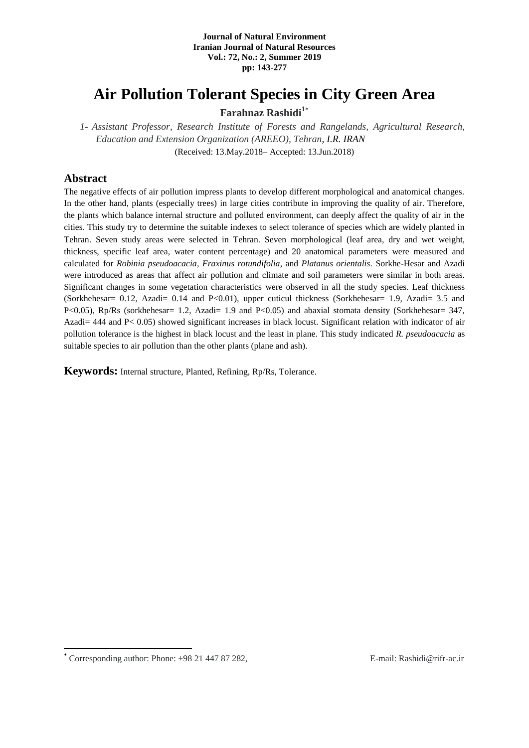### **Air Pollution Tolerant Species in City Green Area**

**Farahnaz Rashidi<sup>1</sup>**

*1- Assistant Professor, Research Institute of Forests and Rangelands, Agricultural Research, Education and Extension Organization (AREEO), Tehran, I.R. IRAN* (Received: 13.May.2018– Accepted: 13.Jun.2018)

### **Abstract**

The negative effects of air pollution impress plants to develop different morphological and anatomical changes. In the other hand, plants (especially trees) in large cities contribute in improving the quality of air. Therefore, the plants which balance internal structure and polluted environment, can deeply affect the quality of air in the cities. This study try to determine the suitable indexes to select tolerance of species which are widely planted in Tehran. Seven study areas were selected in Tehran. Seven morphological (leaf area, dry and wet weight, thickness, specific leaf area, water content percentage) and 20 anatomical parameters were measured and calculated for *Robinia pseudoacacia*, *Fraxinus rotundifolia*, and *Platanus orientalis*. Sorkhe-Hesar and Azadi were introduced as areas that affect air pollution and climate and soil parameters were similar in both areas. Significant changes in some vegetation characteristics were observed in all the study species. Leaf thickness (Sorkhehesar= 0.12, Azadi= 0.14 and P<0.01), upper cuticul thickness (Sorkhehesar= 1.9, Azadi= 3.5 and P<0.05), Rp/Rs (sorkhehesar= 1.2, Azadi= 1.9 and P<0.05) and abaxial stomata density (Sorkhehesar= 347, Azadi= 444 and P< 0.05) showed significant increases in black locust. Significant relation with indicator of air pollution tolerance is the highest in black locust and the least in plane. This study indicated *R. pseudoacacia* as suitable species to air pollution than the other plants (plane and ash).

**Keywords:** Internal structure, Planted, Refining, Rp/Rs, Tolerance.

**<sup>\*</sup>** Corresponding author: Phone: +98 21 447 87 282, E-mail: Rashidi@rifr-ac.ir